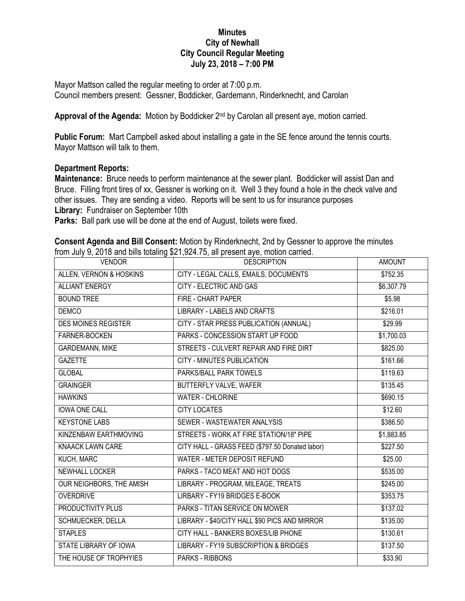## **Minutes City of Newhall City Council Regular Meeting July 23, 2018 – 7:00 PM**

Mayor Mattson called the regular meeting to order at 7:00 p.m. Council members present: Gessner, Boddicker, Gardemann, Rinderknecht, and Carolan

Approval of the Agenda: Motion by Boddicker 2<sup>nd</sup> by Carolan all present aye, motion carried.

**Public Forum:** Mart Campbell asked about installing a gate in the SE fence around the tennis courts. Mayor Mattson will talk to them.

## **Department Reports:**

**Maintenance:** Bruce needs to perform maintenance at the sewer plant. Boddicker will assist Dan and Bruce. Filling front tires of xx, Gessner is working on it. Well 3 they found a hole in the check valve and other issues. They are sending a video. Reports will be sent to us for insurance purposes **Library:** Fundraiser on September 10th

**Parks:** Ball park use will be done at the end of August, toilets were fixed.

| <b>Consent Agenda and Bill Consent:</b> Motion by Rinderknecht, 2nd by Gessner to approve the minutes |  |  |  |
|-------------------------------------------------------------------------------------------------------|--|--|--|
| from July 9, 2018 and bills totaling \$21,924.75, all present aye, motion carried.                    |  |  |  |

| <b>VENDOR</b>              | <b>DESCRIPTION</b>                              | <b>AMOUNT</b>        |
|----------------------------|-------------------------------------------------|----------------------|
| ALLEN, VERNON & HOSKINS    | CITY - LEGAL CALLS, EMAILS, DOCUMENTS           | \$752.35             |
| <b>ALLIANT ENERGY</b>      | <b>CITY - ELECTRIC AND GAS</b>                  | \$6,307.79           |
| <b>BOUND TREE</b>          | FIRE - CHART PAPER                              | \$5.98               |
| <b>DEMCO</b>               | <b>LIBRARY - LABELS AND CRAFTS</b>              | \$216.01             |
| <b>DES MOINES REGISTER</b> | CITY - STAR PRESS PUBLICATION (ANNUAL)          | \$29.99              |
| <b>FARNER-BOCKEN</b>       | PARKS - CONCESSION START UP FOOD                | \$1,700.03           |
| <b>GARDEMANN, MIKE</b>     | STREETS - CULVERT REPAIR AND FIRE DIRT          | \$825.00             |
| <b>GAZETTE</b>             | CITY - MINUTES PUBLICATION                      | \$161.66             |
| <b>GLOBAL</b>              | PARKS/BALL PARK TOWELS                          | \$119.63             |
| <b>GRAINGER</b>            | <b>BUTTERFLY VALVE, WAFER</b>                   | \$135.45             |
| <b>HAWKINS</b>             | <b>WATER - CHLORINE</b>                         | \$690.15             |
| <b>IOWA ONE CALL</b>       | <b>CITY LOCATES</b>                             | \$12.60              |
| <b>KEYSTONE LABS</b>       | SEWER - WASTEWATER ANALYSIS                     | \$386.50             |
| KINZENBAW EARTHMOVING      | STREETS - WORK AT FIRE STATION/18" PIPE         | \$1,883.85           |
| <b>KNAACK LAWN CARE</b>    | CITY HALL - GRASS FEED (\$797.50 Donated labor) | \$227.50             |
| KUCH, MARC                 | WATER - METER DEPOSIT REFUND                    | \$25.00              |
| <b>NEWHALL LOCKER</b>      | PARKS - TACO MEAT AND HOT DOGS                  | \$535.00             |
| OUR NEIGHBORS, THE AMISH   | LIBRARY - PROGRAM, MILEAGE, TREATS              | \$245.00             |
| <b>OVERDRIVE</b>           | LIRBARY - FY19 BRIDGES E-BOOK                   | \$353.75             |
| PRODUCTIVITY PLUS          | PARKS - TITAN SERVICE ON MOWER                  | $\overline{$}137.02$ |
| SCHMUECKER, DELLA          | LIBRARY - \$40/CITY HALL \$90 PICS AND MIRROR   | \$135.00             |
| <b>STAPLES</b>             | CITY HALL - BANKERS BOXES/LIB PHONE             | \$130.61             |
| STATE LIBRARY OF IOWA      | LIBRARY - FY19 SUBSCRIPTION & BRIDGES           | \$137.50             |
| THE HOUSE OF TROPHYIES     | <b>PARKS - RIBBONS</b>                          | \$33.90              |